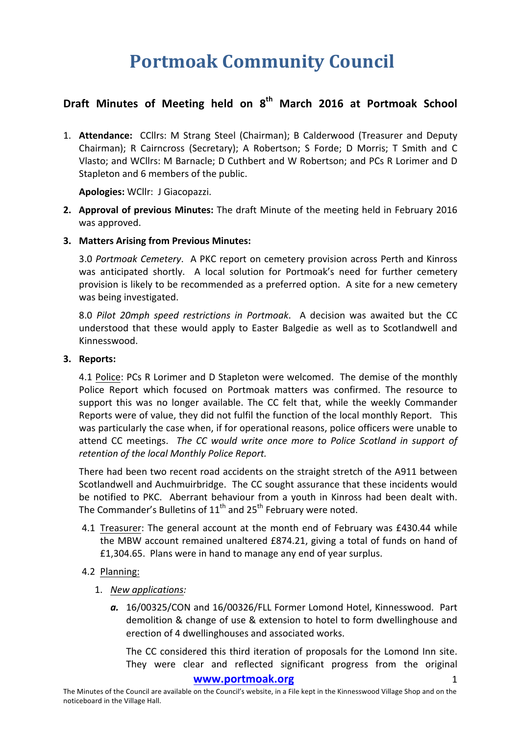# **Portmoak Community Council**

# **Draft Minutes of Meeting held on 8th March 2016 at Portmoak School**

1. **Attendance:** CCllrs: M Strang Steel (Chairman); B Calderwood (Treasurer and Deputy Chairman); R Cairncross (Secretary); A Robertson; S Forde; D Morris; T Smith and C Vlasto; and WCllrs: M Barnacle: D Cuthbert and W Robertson; and PCs R Lorimer and D Stapleton and 6 members of the public.

**Apologies: WCllr: J Giacopazzi.** 

- **2.** Approval of previous Minutes: The draft Minute of the meeting held in February 2016 was approved.
- **3. Matters Arising from Previous Minutes:**

3.0 Portmoak Cemetery. A PKC report on cemetery provision across Perth and Kinross was anticipated shortly. A local solution for Portmoak's need for further cemetery provision is likely to be recommended as a preferred option. A site for a new cemetery was being investigated.

8.0 *Pilot 20mph speed restrictions in Portmoak*. A decision was awaited but the CC understood that these would apply to Easter Balgedie as well as to Scotlandwell and Kinnesswood.

#### **3.** Reports:

4.1 Police: PCs R Lorimer and D Stapleton were welcomed. The demise of the monthly Police Report which focused on Portmoak matters was confirmed. The resource to support this was no longer available. The CC felt that, while the weekly Commander Reports were of value, they did not fulfil the function of the local monthly Report. This was particularly the case when, if for operational reasons, police officers were unable to attend CC meetings. The CC would write once more to Police Scotland in support of retention of the local Monthly Police Report.

There had been two recent road accidents on the straight stretch of the A911 between Scotlandwell and Auchmuirbridge. The CC sought assurance that these incidents would be notified to PKC. Aberrant behaviour from a youth in Kinross had been dealt with. The Commander's Bulletins of  $11<sup>th</sup>$  and  $25<sup>th</sup>$  February were noted.

4.1 Treasurer: The general account at the month end of February was £430.44 while the MBW account remained unaltered £874.21, giving a total of funds on hand of  $£1,304.65.$  Plans were in hand to manage any end of year surplus.

#### 4.2 Planning:

- 1. *New applications:*
	- a. 16/00325/CON and 16/00326/FLL Former Lomond Hotel, Kinnesswood. Part demolition & change of use & extension to hotel to form dwellinghouse and erection of 4 dwellinghouses and associated works.

The CC considered this third iteration of proposals for the Lomond Inn site. They were clear and reflected significant progress from the original

#### www.portmoak.org

The Minutes of the Council are available on the Council's website, in a File kept in the Kinnesswood Village Shop and on the noticeboard in the Village Hall.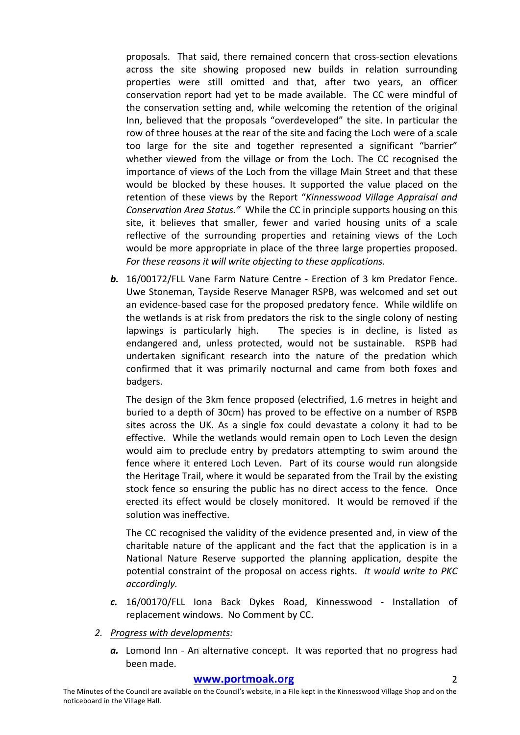proposals. That said, there remained concern that cross-section elevations across the site showing proposed new builds in relation surrounding properties were still omitted and that, after two years, an officer conservation report had yet to be made available. The CC were mindful of the conservation setting and, while welcoming the retention of the original Inn, believed that the proposals "overdeveloped" the site. In particular the row of three houses at the rear of the site and facing the Loch were of a scale too large for the site and together represented a significant "barrier" whether viewed from the village or from the Loch. The CC recognised the importance of views of the Loch from the village Main Street and that these would be blocked by these houses. It supported the value placed on the retention of these views by the Report "Kinnesswood Village Appraisal and *Conservation Area Status.*" While the CC in principle supports housing on this site, it believes that smaller, fewer and varied housing units of a scale reflective of the surrounding properties and retaining views of the Loch would be more appropriate in place of the three large properties proposed. For these reasons it will write objecting to these applications.

**b.** 16/00172/FLL Vane Farm Nature Centre - Erection of 3 km Predator Fence. Uwe Stoneman, Tayside Reserve Manager RSPB, was welcomed and set out an evidence-based case for the proposed predatory fence. While wildlife on the wetlands is at risk from predators the risk to the single colony of nesting lapwings is particularly high. The species is in decline, is listed as endangered and, unless protected, would not be sustainable. RSPB had undertaken significant research into the nature of the predation which confirmed that it was primarily nocturnal and came from both foxes and badgers.

The design of the 3km fence proposed (electrified, 1.6 metres in height and buried to a depth of 30cm) has proved to be effective on a number of RSPB sites across the UK. As a single fox could devastate a colony it had to be effective. While the wetlands would remain open to Loch Leven the design would aim to preclude entry by predators attempting to swim around the fence where it entered Loch Leven. Part of its course would run alongside the Heritage Trail, where it would be separated from the Trail by the existing stock fence so ensuring the public has no direct access to the fence. Once erected its effect would be closely monitored. It would be removed if the solution was ineffective.

The CC recognised the validity of the evidence presented and, in view of the charitable nature of the applicant and the fact that the application is in a National Nature Reserve supported the planning application, despite the potential constraint of the proposal on access rights. *It would write to PKC accordingly.*

- *c.* 16/00170/FLL Iona Back Dykes Road, Kinnesswood Installation of replacement windows. No Comment by CC.
- *2. Progress with developments:*
	- a. Lomond Inn An alternative concept. It was reported that no progress had been made.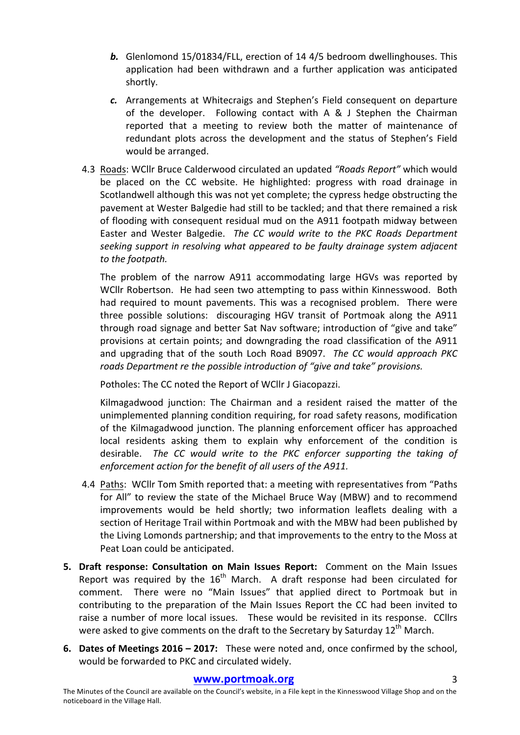- **b.** Glenlomond 15/01834/FLL, erection of 14 4/5 bedroom dwellinghouses. This application had been withdrawn and a further application was anticipated shortly.
- **c.** Arrangements at Whitecraigs and Stephen's Field consequent on departure of the developer. Following contact with  $A \& J$  Stephen the Chairman reported that a meeting to review both the matter of maintenance of redundant plots across the development and the status of Stephen's Field would be arranged.
- 4.3 Roads: WCllr Bruce Calderwood circulated an updated "Roads Report" which would be placed on the CC website. He highlighted: progress with road drainage in Scotlandwell although this was not yet complete; the cypress hedge obstructing the pavement at Wester Balgedie had still to be tackled; and that there remained a risk of flooding with consequent residual mud on the A911 footpath midway between Easter and Wester Balgedie. The CC would write to the PKC Roads Department seeking support in resolving what appeared to be faulty drainage system adjacent to the footpath.

The problem of the narrow A911 accommodating large HGVs was reported by WCIIr Robertson. He had seen two attempting to pass within Kinnesswood. Both had required to mount pavements. This was a recognised problem. There were three possible solutions: discouraging HGV transit of Portmoak along the A911 through road signage and better Sat Nav software; introduction of "give and take" provisions at certain points; and downgrading the road classification of the A911 and upgrading that of the south Loch Road B9097. The CC would approach PKC *roads* Department re the possible introduction of "give and take" provisions.

Potholes: The CC noted the Report of WCllr J Giacopazzi.

Kilmagadwood junction: The Chairman and a resident raised the matter of the unimplemented planning condition requiring, for road safety reasons, modification of the Kilmagadwood junction. The planning enforcement officer has approached local residents asking them to explain why enforcement of the condition is desirable. The CC would write to the PKC enforcer supporting the taking of *enforcement action for the benefit of all users of the A911.* 

- 4.4 Paths: WCllr Tom Smith reported that: a meeting with representatives from "Paths" for All" to review the state of the Michael Bruce Way (MBW) and to recommend improvements would be held shortly; two information leaflets dealing with a section of Heritage Trail within Portmoak and with the MBW had been published by the Living Lomonds partnership; and that improvements to the entry to the Moss at Peat Loan could be anticipated.
- **5. Draft response: Consultation on Main Issues Report:** Comment on the Main Issues Report was required by the  $16<sup>th</sup>$  March. A draft response had been circulated for comment. There were no "Main Issues" that applied direct to Portmoak but in contributing to the preparation of the Main Issues Report the CC had been invited to raise a number of more local issues. These would be revisited in its response. CCllrs were asked to give comments on the draft to the Secretary by Saturday  $12^{th}$  March.
- **6.** Dates of Meetings 2016 2017: These were noted and, once confirmed by the school, would be forwarded to PKC and circulated widely.

#### **www.portmoak.org** 3